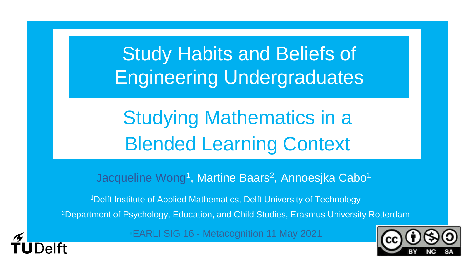Study Habits and Beliefs of Engineering Undergraduates

Studying Mathematics in a Blended Learning Context

Jacqueline Wong<sup>1</sup>, Martine Baars<sup>2</sup>, Annoesjka Cabo<sup>1</sup>

<sup>1</sup>Delft Institute of Applied Mathematics, Delft University of Technology 2Department of Psychology, Education, and Child Studies, Erasmus University Rotterdam

•EARLI SIG 16 - Metacognition 11 May 2021

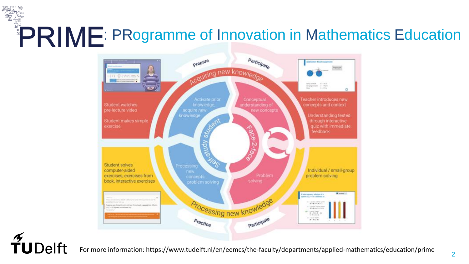# PRIME: PRogramme of Innovation in Mathematics Education



 $\widetilde{T}$ UDelft

For more information: https://www.tudelft.nl/en/eemcs/the-faculty/departments/applied-mathematics/education/prime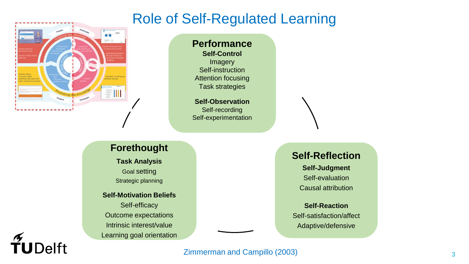#### Role of Self-Regulated Learning



TUDelft

**Performance Self-Control** Imagery Self-instruction Attention focusing Task strategies

**Self-Observation** Self-recording Self-experimentation

#### **Forethought**

**Task Analysis** Goal setting Strategic planning

#### **Self-Motivation Beliefs** Self-efficacy Outcome expectations

Intrinsic interest/value Learning goal orientation

#### **Self-Reflection**

**Self-Judgment** Self-evaluation Causal attribution

**Self-Reaction** Self-satisfaction/affect Adaptive/defensive

#### Zimmerman and Campillo (2003)

3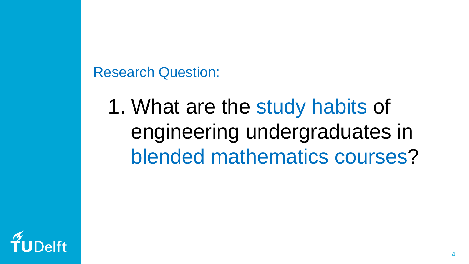Research Question:

1. What are the study habits of engineering undergraduates in blended mathematics courses?

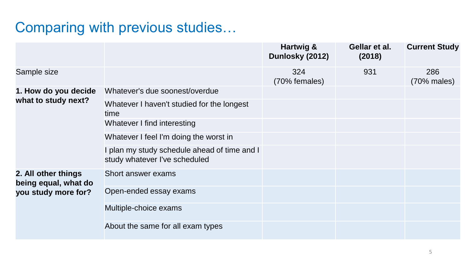## Comparing with previous studies…

|                                             |                                                                               | Hartwig &<br>Dunlosky (2012) | Gellar et al.<br>(2018) | <b>Current Study</b> |
|---------------------------------------------|-------------------------------------------------------------------------------|------------------------------|-------------------------|----------------------|
| Sample size                                 |                                                                               | 324<br>(70% females)         | 931                     | 286<br>$(70%$ males) |
| 1. How do you decide                        | Whatever's due soonest/overdue                                                |                              |                         |                      |
| what to study next?                         | Whatever I haven't studied for the longest<br>time                            |                              |                         |                      |
|                                             | Whatever I find interesting                                                   |                              |                         |                      |
|                                             | Whatever I feel I'm doing the worst in                                        |                              |                         |                      |
|                                             | I plan my study schedule ahead of time and I<br>study whatever I've scheduled |                              |                         |                      |
| 2. All other things<br>being equal, what do | Short answer exams                                                            |                              |                         |                      |
| you study more for?                         | Open-ended essay exams                                                        |                              |                         |                      |
|                                             | Multiple-choice exams                                                         |                              |                         |                      |
|                                             | About the same for all exam types                                             |                              |                         |                      |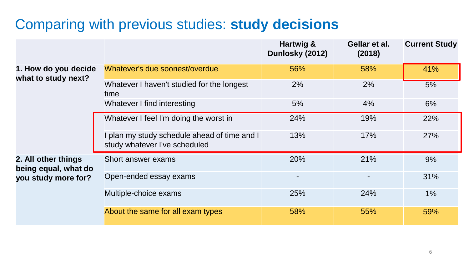#### Comparing with previous studies: **study decisions**

|                                             |                                                                               | Hartwig &<br>Dunlosky (2012) | Gellar et al.<br>(2018) | <b>Current Study</b> |
|---------------------------------------------|-------------------------------------------------------------------------------|------------------------------|-------------------------|----------------------|
| 1. How do you decide<br>what to study next? | Whatever's due soonest/overdue                                                | 56%                          | 58%                     | 41%                  |
|                                             | Whatever I haven't studied for the longest<br>time                            | 2%                           | 2%                      | 5%                   |
|                                             | Whatever I find interesting                                                   | 5%                           | 4%                      | 6%                   |
|                                             | Whatever I feel I'm doing the worst in                                        | 24%                          | 19%                     | 22%                  |
|                                             | I plan my study schedule ahead of time and I<br>study whatever I've scheduled | 13%                          | 17%                     | 27%                  |
| 2. All other things<br>being equal, what do | Short answer exams                                                            | 20%                          | 21%                     | 9%                   |
| you study more for?                         | Open-ended essay exams                                                        | -                            |                         | 31%                  |
|                                             | Multiple-choice exams                                                         | 25%                          | 24%                     | $1\%$                |
|                                             | About the same for all exam types                                             | 58%                          | 55%                     | 59%                  |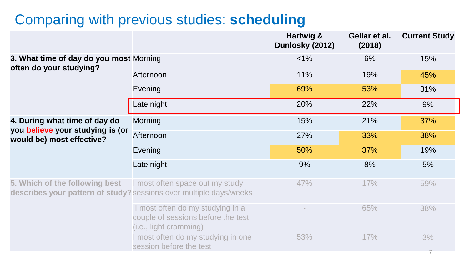#### Comparing with previous studies: **scheduling**

|                                                                    |                                                                                                       | Hartwig &<br>Dunlosky (2012) | Gellar et al.<br>(2018) | <b>Current Study</b> |
|--------------------------------------------------------------------|-------------------------------------------------------------------------------------------------------|------------------------------|-------------------------|----------------------|
| 3. What time of day do you most Morning<br>often do your studying? |                                                                                                       | $< 1\%$                      | 6%                      | 15%                  |
|                                                                    | Afternoon                                                                                             | 11%                          | 19%                     | 45%                  |
|                                                                    | Evening                                                                                               | 69%                          | 53%                     | 31%                  |
|                                                                    | Late night                                                                                            | 20%                          | 22%                     | 9%                   |
| 4. During what time of day do                                      | <b>Morning</b>                                                                                        | 15%                          | 21%                     | 37%                  |
| you believe your studying is (or<br>would be) most effective?      | Afternoon                                                                                             | 27%                          | 33%                     | 38%                  |
|                                                                    | Evening                                                                                               | 50%                          | 37%                     | 19%                  |
|                                                                    | Late night                                                                                            | 9%                           | 8%                      | 5%                   |
| 5. Which of the following best                                     | I most often space out my study<br>describes your pattern of study? sessions over multiple days/weeks | 47%                          | 17%                     | 59%                  |
|                                                                    | I most often do my studying in a<br>couple of sessions before the test<br>(i.e., light cramming)      |                              | 65%                     | 38%                  |
|                                                                    | I most often do my studying in one<br>session before the test                                         | 53%                          | 17%                     | 3%                   |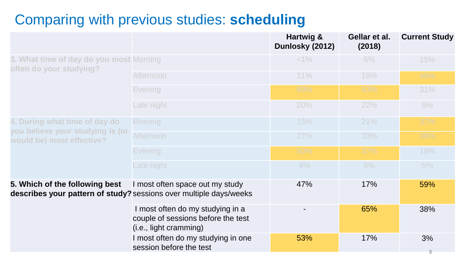#### Comparing with previous studies: **scheduling**

|                                                                    |                                                                                                       | Hartwig &<br>Dunlosky (2012) | Gellar et al.<br>(2018) | <b>Current Study</b> |
|--------------------------------------------------------------------|-------------------------------------------------------------------------------------------------------|------------------------------|-------------------------|----------------------|
| 3. What time of day do you most Morning<br>often do your studying? |                                                                                                       | $<1\%$                       | 6%                      | 15%                  |
|                                                                    | Afternoon                                                                                             | 11%                          | 19%                     | 45%                  |
|                                                                    | Evening                                                                                               | 69%                          | 53%                     | 31%                  |
|                                                                    | Late night                                                                                            | 20%                          | 22%                     | 9%                   |
| 4. During what time of day do                                      | <b>Morning</b>                                                                                        | 15%                          | 21%                     | 37%                  |
| you believe your studying is (or<br>would be) most effective?      | <b>Afternoon</b>                                                                                      | 27%                          | 33%                     | 38%                  |
|                                                                    | <b>Evening</b>                                                                                        | 50%                          | 37%                     | 19%                  |
|                                                                    | Late night                                                                                            | 9%                           | 8%                      | 5%                   |
| 5. Which of the following best                                     | I most often space out my study<br>describes your pattern of study? sessions over multiple days/weeks | 47%                          | 17%                     | 59%                  |
|                                                                    | I most often do my studying in a<br>couple of sessions before the test<br>(i.e., light cramming)      |                              | 65%                     | 38%                  |
|                                                                    | I most often do my studying in one<br>session before the test                                         | 53%                          | 17%                     | 3%<br>8              |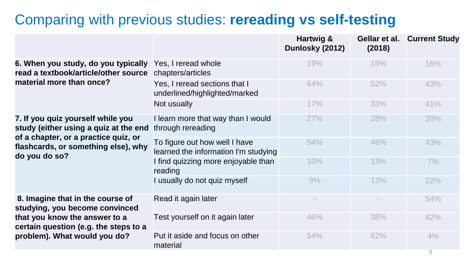#### Comparing with previous studies: **rereading vs self-testing**

|                                                                                                                    |                                                                       | Hartwig &<br>Dunlosky (2012) | Gellar et al.<br>(2018) | <b>Current Study</b> |
|--------------------------------------------------------------------------------------------------------------------|-----------------------------------------------------------------------|------------------------------|-------------------------|----------------------|
| 6. When you study, do you typically<br>read a textbook/article/other source                                        | Yes, I reread whole<br>chapters/articles                              | 19%                          | 15%                     | 16%                  |
| material more than once?                                                                                           | Yes, I reread sections that I<br>underlined/highlighted/marked        | 64%                          | 52%                     | 43%                  |
|                                                                                                                    | Not usually                                                           | 17%                          | 33%                     | 41%                  |
| 7. If you quiz yourself while you<br>study (either using a quiz at the end<br>of a chapter, or a practice quiz, or | I learn more that way than I would<br>through rereading               | 27%                          | 28%                     | 28%                  |
| flashcards, or something else), why<br>do you do so?                                                               | To figure out how well I have<br>learned the information I'm studying | 54%                          | 46%                     | 43%                  |
|                                                                                                                    | I find quizzing more enjoyable than<br>reading                        | 10%                          | 13%                     | 7%                   |
|                                                                                                                    | I usually do not quiz myself                                          | 9%                           | 13%                     | 22%                  |
| 8. Imagine that in the course of<br>studying, you become convinced                                                 | Read it again later                                                   |                              |                         | 54%                  |
| that you know the answer to a<br>certain question (e.g. the steps to a                                             | Test yourself on it again later                                       | 46%                          | 38%                     | 42%                  |
| problem). What would you do?                                                                                       | Put it aside and focus on other<br>material                           | 54%                          | 62%                     | 4%                   |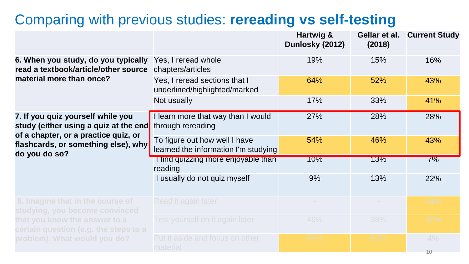#### Comparing with previous studies: **rereading vs self-testing**

|                                                                                                                    |                                                                       | Hartwig &<br>Dunlosky (2012) | Gellar et al.<br>(2018) | <b>Current Study</b> |
|--------------------------------------------------------------------------------------------------------------------|-----------------------------------------------------------------------|------------------------------|-------------------------|----------------------|
| 6. When you study, do you typically<br>read a textbook/article/other source                                        | Yes, I reread whole<br>chapters/articles                              | 19%                          | 15%                     | 16%                  |
| material more than once?                                                                                           | Yes, I reread sections that I<br>underlined/highlighted/marked        | 64%                          | 52%                     | 43%                  |
|                                                                                                                    | Not usually                                                           | 17%                          | 33%                     | 41%                  |
| 7. If you quiz yourself while you<br>study (either using a quiz at the end<br>of a chapter, or a practice quiz, or | I learn more that way than I would<br>through rereading               | 27%                          | 28%                     | 28%                  |
| flashcards, or something else), why<br>do you do so?                                                               | To figure out how well I have<br>learned the information I'm studying | 54%                          | 46%                     | 43%                  |
|                                                                                                                    | I find quizzing more enjoyable than<br>reading                        | 10%                          | 13%                     | 7%                   |
|                                                                                                                    | I usually do not quiz myself                                          | 9%                           | 13%                     | 22%                  |
| 8. Imagine that in the course of<br>studying, you become convinced                                                 | Read it again later                                                   |                              |                         | 54%                  |
| that you know the answer to a<br>$c$ ertain question (e.g. the steps to a                                          | Test yourself on it again later                                       | 46%                          | 38%                     | 42%                  |
| problem). What would you do?                                                                                       | Put it aside and focus on other<br>material                           | 54%                          | 62%                     | 4%<br>10             |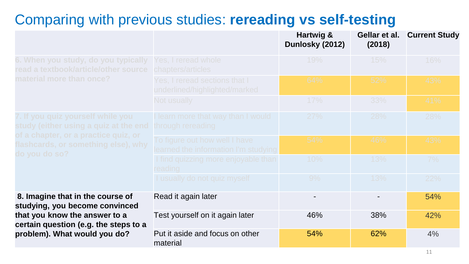#### Comparing with previous studies: **rereading vs self-testing**

|                                                                                              |                                                                       | Hartwig &<br>Dunlosky (2012) | Gellar et al.<br>(2018) | <b>Current Study</b> |
|----------------------------------------------------------------------------------------------|-----------------------------------------------------------------------|------------------------------|-------------------------|----------------------|
| 6. When you study, do you typically<br>read a textbook/article/other source                  | Yes, I reread whole<br>chapters/articles                              | 19%                          | 15%                     | 16%                  |
| material more than once?                                                                     | Yes, I reread sections that I<br>underlined/highlighted/marked        | 64%                          | 52%                     | 43%                  |
|                                                                                              | Not usually                                                           | 17%                          | 33%                     | 41%                  |
| 7. If you quiz yourself while you<br>study (either using a quiz at the end                   | I learn more that way than I would<br>through rereading               | 27%                          | 28%                     | 28%                  |
| of a chapter, or a practice quiz, or<br>flashcards, or something else), why<br>do you do so? | To figure out how well I have<br>learned the information I'm studying | 54%                          | 46%                     | 43%                  |
|                                                                                              | I find quizzing more enjoyable than<br>reading                        | 10%                          | 13%                     | 7%                   |
|                                                                                              | I usually do not quiz myself                                          | 9%                           | 13%                     | 22%                  |
| 8. Imagine that in the course of<br>studying, you become convinced                           | Read it again later                                                   | $\overline{\phantom{a}}$     |                         | 54%                  |
| that you know the answer to a<br>certain question (e.g. the steps to a                       | Test yourself on it again later                                       | 46%                          | 38%                     | 42%                  |
| problem). What would you do?                                                                 | Put it aside and focus on other<br>material                           | 54%                          | 62%                     | 4%                   |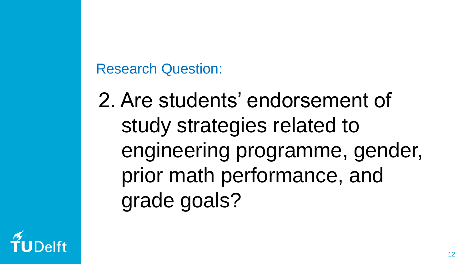Research Question:

2. Are students' endorsement of study strategies related to engineering programme, gender, prior math performance, and grade goals?

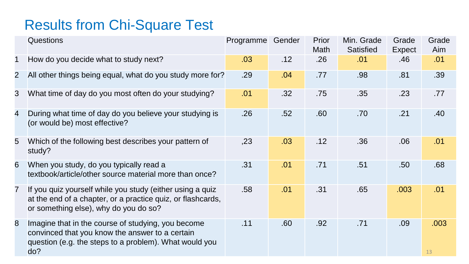## Results from Chi-Square Test

|                | <b>Questions</b>                                                                                                                                                       | Programme | Gender | Prior<br>Math | Min. Grade<br>Satisfied | Grade<br>Expect  | Grade<br>Aim |
|----------------|------------------------------------------------------------------------------------------------------------------------------------------------------------------------|-----------|--------|---------------|-------------------------|------------------|--------------|
| 1              | How do you decide what to study next?                                                                                                                                  | .03       | .12    | .26           | .01                     | .46              | .01          |
| $\overline{2}$ | All other things being equal, what do you study more for?                                                                                                              | .29       | .04    | .77           | .98                     | .81              | .39          |
| 3              | What time of day do you most often do your studying?                                                                                                                   | .01       | .32    | .75           | .35                     | .23              | .77          |
| 4              | During what time of day do you believe your studying is<br>(or would be) most effective?                                                                               | .26       | .52    | .60           | .70                     | .21              | .40          |
| 5              | Which of the following best describes your pattern of<br>study?                                                                                                        | ,23       | .03    | .12           | .36                     | .06              | .01          |
| 6              | When you study, do you typically read a<br>textbook/article/other source material more than once?                                                                      | .31       | .01    | .71           | .51                     | .50 <sub>1</sub> | .68          |
| 7              | If you quiz yourself while you study (either using a quiz<br>at the end of a chapter, or a practice quiz, or flashcards,<br>or something else), why do you do so?      | .58       | .01    | .31           | .65                     | .003             | .01          |
| 8              | Imagine that in the course of studying, you become<br>convinced that you know the answer to a certain<br>question (e.g. the steps to a problem). What would you<br>do? | .11       | .60    | .92           | .71                     | .09              | .003<br>13   |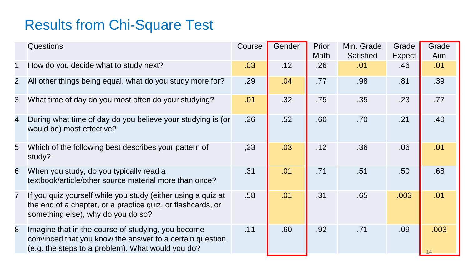## Results from Chi-Square Test

|                | Questions                                                                                                                                                           | Course | Gender | Prior<br>Math | Min. Grade<br>Satisfied | Grade<br>Expect  | Grade<br>Aim |
|----------------|---------------------------------------------------------------------------------------------------------------------------------------------------------------------|--------|--------|---------------|-------------------------|------------------|--------------|
| 1              | How do you decide what to study next?                                                                                                                               | .03    | .12    | .26           | .01                     | .46              | .01          |
| $\overline{2}$ | All other things being equal, what do you study more for?                                                                                                           | .29    | .04    | .77           | .98                     | .81              | .39          |
| 3              | What time of day do you most often do your studying?                                                                                                                | .01    | .32    | .75           | .35                     | .23              | .77          |
| 4              | During what time of day do you believe your studying is (or<br>would be) most effective?                                                                            | .26    | .52    | .60           | .70                     | .21              | .40          |
| 5              | Which of the following best describes your pattern of<br>study?                                                                                                     | , 23   | .03    | .12           | .36                     | .06              | .01          |
| 6              | When you study, do you typically read a<br>textbook/article/other source material more than once?                                                                   | .31    | .01    | .71           | .51                     | .50 <sub>1</sub> | .68          |
| 7              | If you quiz yourself while you study (either using a quiz at<br>the end of a chapter, or a practice quiz, or flashcards, or<br>something else), why do you do so?   | .58    | .01    | .31           | .65                     | .003             | .01          |
| 8              | Imagine that in the course of studying, you become<br>convinced that you know the answer to a certain question<br>(e.g. the steps to a problem). What would you do? | .11    | .60    | .92           | .71                     | .09              | .003         |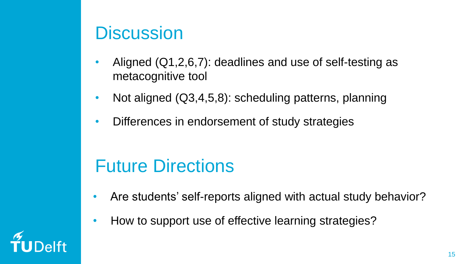## **Discussion**

- Aligned (Q1,2,6,7): deadlines and use of self-testing as metacognitive tool
- Not aligned (Q3,4,5,8): scheduling patterns, planning
- Differences in endorsement of study strategies

## Future Directions

- Are students' self-reports aligned with actual study behavior?
- How to support use of effective learning strategies?